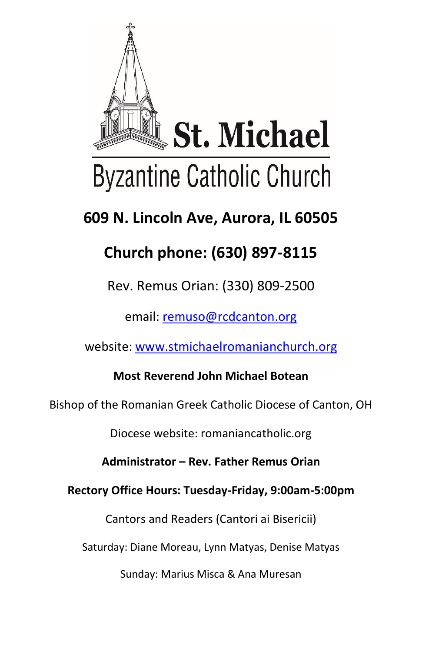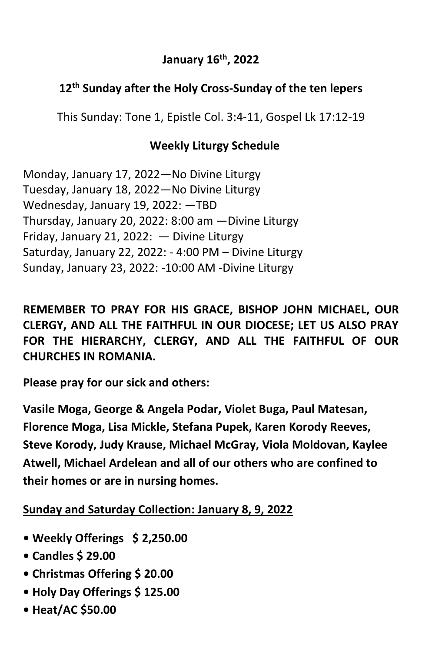## **January 16th, 2022**

## **12th Sunday after the Holy Cross-Sunday of the ten lepers**

This Sunday: Tone 1, Epistle Col. 3:4-11, Gospel Lk 17:12-19

## **Weekly Liturgy Schedule**

Monday, January 17, 2022—No Divine Liturgy Tuesday, January 18, 2022—No Divine Liturgy Wednesday, January 19, 2022: —TBD Thursday, January 20, 2022: 8:00 am —Divine Liturgy Friday, January 21, 2022: — Divine Liturgy Saturday, January 22, 2022: - 4:00 PM – Divine Liturgy Sunday, January 23, 2022: -10:00 AM -Divine Liturgy

**REMEMBER TO PRAY FOR HIS GRACE, BISHOP JOHN MICHAEL, OUR CLERGY, AND ALL THE FAITHFUL IN OUR DIOCESE; LET US ALSO PRAY FOR THE HIERARCHY, CLERGY, AND ALL THE FAITHFUL OF OUR CHURCHES IN ROMANIA.**

**Please pray for our sick and others:**

**Vasile Moga, George & Angela Podar, Violet Buga, Paul Matesan, Florence Moga, Lisa Mickle, Stefana Pupek, Karen Korody Reeves, Steve Korody, Judy Krause, Michael McGray, Viola Moldovan, Kaylee Atwell, Michael Ardelean and all of our others who are confined to their homes or are in nursing homes.**

#### **Sunday and Saturday Collection: January 8, 9, 2022**

- **Weekly Offerings \$ 2,250.00**
- **Candles \$ 29.00**
- **Christmas Offering \$ 20.00**
- **Holy Day Offerings \$ 125.00**
- **Heat/AC \$50.00**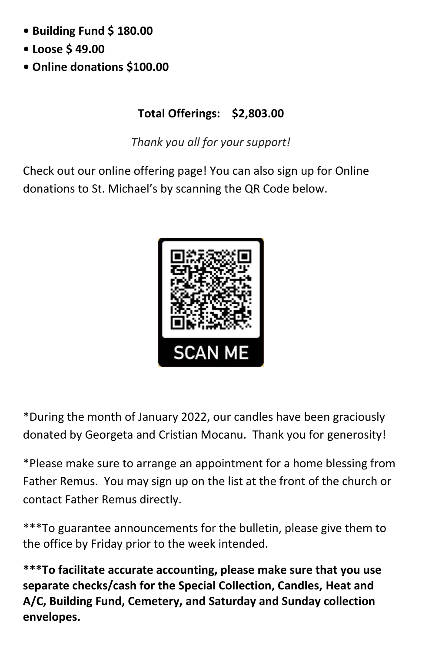- **Building Fund \$ 180.00**
- **Loose \$ 49.00**
- **Online donations \$100.00**

## **Total Offerings: \$2,803.00**

*Thank you all for your support!*

Check out our online offering page! You can also sign up for Online donations to St. Michael's by scanning the QR Code below.



\*During the month of January 2022, our candles have been graciously donated by Georgeta and Cristian Mocanu. Thank you for generosity!

\*Please make sure to arrange an appointment for a home blessing from Father Remus. You may sign up on the list at the front of the church or contact Father Remus directly.

\*\*\*To guarantee announcements for the bulletin, please give them to the office by Friday prior to the week intended.

**\*\*\*To facilitate accurate accounting, please make sure that you use separate checks/cash for the Special Collection, Candles, Heat and A/C, Building Fund, Cemetery, and Saturday and Sunday collection envelopes.**